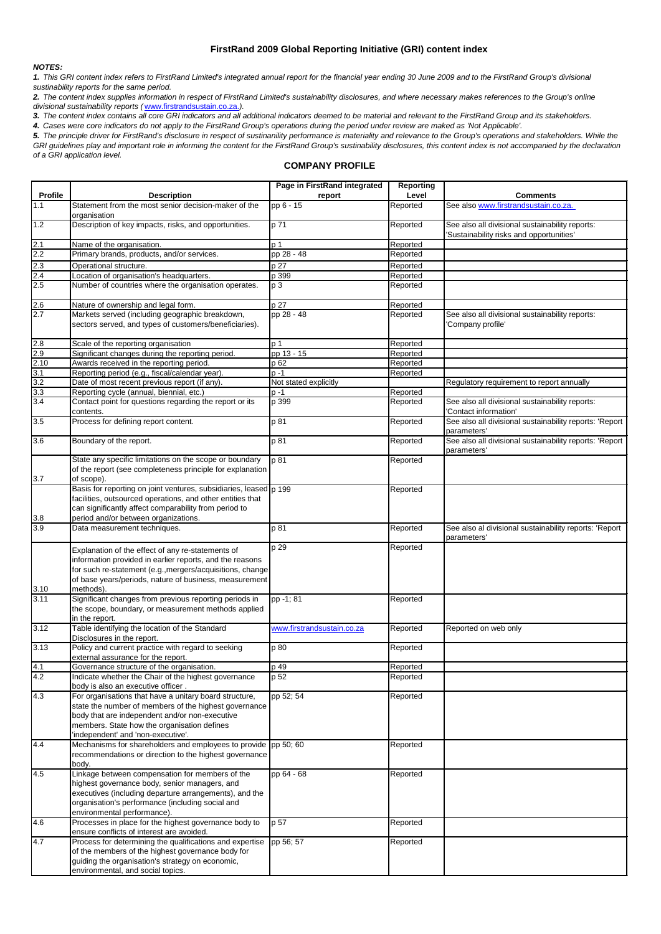## *NOTES:*

*3. The content index contains all core GRI indicators and all additional indicators deemed to be material and relevant to the FirstRand Group and its stakeholders.* 

*4. Cases were core indicators do not apply to the FirstRand Group's operations during the period under review are maked as 'Not Applicable'.*

## **COMPANY PROFILE**

|                |                                                                                                                                                                                                                                                        | Page in FirstRand integrated | <b>Reporting</b> |                                                                                             |
|----------------|--------------------------------------------------------------------------------------------------------------------------------------------------------------------------------------------------------------------------------------------------------|------------------------------|------------------|---------------------------------------------------------------------------------------------|
| <b>Profile</b> | <b>Description</b>                                                                                                                                                                                                                                     | report                       | Level            | <b>Comments</b>                                                                             |
| 1.1            | Statement from the most senior decision-maker of the<br>organisation                                                                                                                                                                                   | pp 6 - 15                    | Reported         | See also www.firstrandsustain.co.za.                                                        |
| 1.2            | Description of key impacts, risks, and opportunities.                                                                                                                                                                                                  | p 71                         | Reported         | See also all divisional sustainability reports:<br>'Sustainability risks and opportunities' |
| 2.1            | Name of the organisation.                                                                                                                                                                                                                              | p <sub>1</sub>               | Reported         |                                                                                             |
| 2.2            | Primary brands, products, and/or services.                                                                                                                                                                                                             | pp 28 - 48                   | Reported         |                                                                                             |
| 2.3            | Operational structure.                                                                                                                                                                                                                                 | p 27                         | Reported         |                                                                                             |
| 2.4            | Location of organisation's headquarters.                                                                                                                                                                                                               | p 399                        | Reported         |                                                                                             |
| 2.5            | Number of countries where the organisation operates.                                                                                                                                                                                                   | p <sub>3</sub>               | Reported         |                                                                                             |
| 2.6            | Nature of ownership and legal form.                                                                                                                                                                                                                    | p 27                         | Reported         |                                                                                             |
| 2.7            | Markets served (including geographic breakdown,<br>sectors served, and types of customers/beneficiaries).                                                                                                                                              | pp 28 - 48                   | Reported         | See also all divisional sustainability reports:<br>'Company profile'                        |
| 2.8            | Scale of the reporting organisation                                                                                                                                                                                                                    | p <sub>1</sub>               | Reported         |                                                                                             |
| 2.9            | Significant changes during the reporting period.                                                                                                                                                                                                       | pp 13 - 15                   | Reported         |                                                                                             |
| 2.10           | Awards received in the reporting period.                                                                                                                                                                                                               | p 62                         | Reported         |                                                                                             |
| 3.1            | Reporting period (e.g., fiscal/calendar year).                                                                                                                                                                                                         | $p - 1$                      | Reported         |                                                                                             |
| 3.2            | Date of most recent previous report (if any).                                                                                                                                                                                                          | Not stated explicitly        |                  | Regulatory requirement to report annually                                                   |
| 3.3            | Reporting cycle (annual, biennial, etc.)                                                                                                                                                                                                               | $p - 1$                      | Reported         |                                                                                             |
| 3.4            | Contact point for questions regarding the report or its<br>contents.                                                                                                                                                                                   | p 399                        | Reported         | See also all divisional sustainability reports:<br>'Contact information'                    |
| 3.5            | Process for defining report content.                                                                                                                                                                                                                   | p 81                         | Reported         | See also all divisional sustainability reports: 'Report<br>parameters'                      |
| 3.6            | Boundary of the report.                                                                                                                                                                                                                                | p 81                         | Reported         | See also all divisional sustainability reports: 'Report<br>parameters'                      |
| 3.7            | State any specific limitations on the scope or boundary<br>of the report (see completeness principle for explanation<br>of scope).                                                                                                                     | p81                          | Reported         |                                                                                             |
|                | Basis for reporting on joint ventures, subsidiaries, leased p 199<br>facilities, outsourced operations, and other entities that                                                                                                                        |                              | Reported         |                                                                                             |
| 3.8            | can significantly affect comparability from period to<br>period and/or between organizations.                                                                                                                                                          |                              |                  |                                                                                             |
| 3.9            | Data measurement techniques.                                                                                                                                                                                                                           | p 81                         | Reported         | See also al divisional sustainability reports: 'Report<br>parameters'                       |
| 3.10           | Explanation of the effect of any re-statements of<br>information provided in earlier reports, and the reasons<br>for such re-statement (e.g., mergers/acquisitions, change<br>of base years/periods, nature of business, measurement<br>methods).      | p 29                         | Reported         |                                                                                             |
| 3.11           | Significant changes from previous reporting periods in<br>the scope, boundary, or measurement methods applied<br>in the report.                                                                                                                        | pp -1; 81                    | Reported         |                                                                                             |
| 3.12           | Table identifying the location of the Standard<br>Disclosures in the report.                                                                                                                                                                           | www.firstrandsustain.co.za   | Reported         | Reported on web only                                                                        |
| 3.13           | Policy and current practice with regard to seeking<br>external assurance for the report.                                                                                                                                                               | p 80                         | Reported         |                                                                                             |
| 4.1            | Governance structure of the organisation.                                                                                                                                                                                                              | p 49                         | Reported         |                                                                                             |
| 4.2            | Indicate whether the Chair of the highest governance<br>body is also an executive officer.                                                                                                                                                             | p 52                         | Reported         |                                                                                             |
| 4.3            | For organisations that have a unitary board structure,<br>state the number of members of the highest governance<br>body that are independent and/or non-executive<br>members. State how the organisation defines<br>'independent' and 'non-executive'. | pp 52; 54                    | Reported         |                                                                                             |
| 4.4            | Mechanisms for shareholders and employees to provide pp 50; 60<br>recommendations or direction to the highest governance<br>body.                                                                                                                      |                              | Reported         |                                                                                             |
| 4.5            | Linkage between compensation for members of the<br>highest governance body, senior managers, and<br>executives (including departure arrangements), and the<br>organisation's performance (including social and<br>environmental performance).          | pp 64 - 68                   | Reported         |                                                                                             |
| 4.6            | Processes in place for the highest governance body to<br>ensure conflicts of interest are avoided.                                                                                                                                                     | p 57                         | Reported         |                                                                                             |
| 4.7            | Process for determining the qualifications and expertise<br>of the members of the highest governance body for<br>guiding the organisation's strategy on economic,<br>environmental, and social topics.                                                 | pp 56; 57                    | Reported         |                                                                                             |

## **FirstRand 2009 Global Reporting Initiative (GRI) content index**

*1. This GRI content index refers to FirstRand Limited's integrated annual report for the financial year ending 30 June 2009 and to the FirstRand Group's divisional sustinability reports for the same period.*

*2. The content index supplies information in respect of FirstRand Limited's sustainability disclosures, and where necessary makes references to the Group's online divisional sustainability reports (* www.firstrandsustain.co.za.*).*

*5. The principle driver for FirstRand's disclosure in respect of sustinanility performance is materiality and relevance to the Group's operations and stakeholders. While the*  GRI guidelines play and important role in informing the content for the FirstRand Group's sustinability disclosures, this content index is not accompanied by the declaration *of a GRI application level.*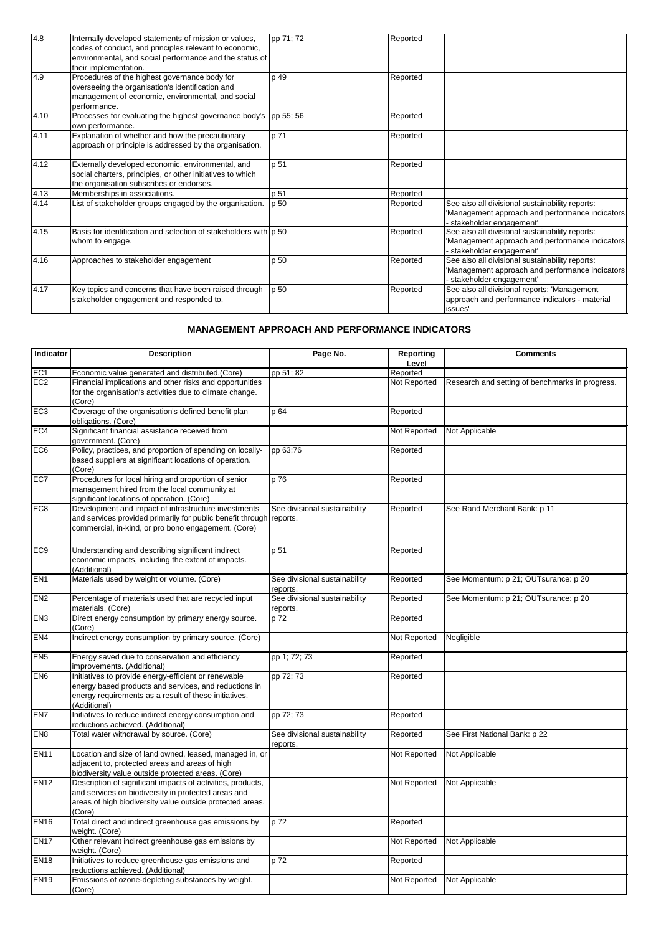| 4.8  | Internally developed statements of mission or values,<br>codes of conduct, and principles relevant to economic,<br>environmental, and social performance and the status of<br>their implementation. | pp 71; 72       | Reported |                                                                                                                               |
|------|-----------------------------------------------------------------------------------------------------------------------------------------------------------------------------------------------------|-----------------|----------|-------------------------------------------------------------------------------------------------------------------------------|
| 4.9  | Procedures of the highest governance body for<br>overseeing the organisation's identification and<br>management of economic, environmental, and social<br>performance.                              | p 49            | Reported |                                                                                                                               |
| 4.10 | Processes for evaluating the highest governance body's pp 55; 56<br>own performance.                                                                                                                |                 | Reported |                                                                                                                               |
| 4.11 | Explanation of whether and how the precautionary<br>approach or principle is addressed by the organisation.                                                                                         | p 71            | Reported |                                                                                                                               |
| 4.12 | Externally developed economic, environmental, and<br>social charters, principles, or other initiatives to which<br>the organisation subscribes or endorses.                                         | p 51            | Reported |                                                                                                                               |
| 4.13 | Memberships in associations.                                                                                                                                                                        | p 51            | Reported |                                                                                                                               |
| 4.14 | List of stakeholder groups engaged by the organisation.                                                                                                                                             | p <sub>50</sub> | Reported | See also all divisional sustainability reports:<br>'Management approach and performance indicators<br>stakeholder engagement' |
| 4.15 | Basis for identification and selection of stakeholders with $ p 50 $<br>whom to engage.                                                                                                             |                 | Reported | See also all divisional sustainability reports:<br>'Management approach and performance indicators<br>stakeholder engagement' |
| 4.16 | Approaches to stakeholder engagement                                                                                                                                                                | p 50            | Reported | See also all divisional sustainability reports:<br>'Management approach and performance indicators<br>stakeholder engagement' |
| 4.17 | Key topics and concerns that have been raised through<br>stakeholder engagement and responded to.                                                                                                   | $p_{50}$        | Reported | See also all divisional reports: 'Management<br>approach and performance indicators - material<br>issues'                     |

| Indicator        | <b>Description</b>                                                                                                                                                                        | Page No.                                  | <b>Reporting</b> | <b>Comments</b>                                 |
|------------------|-------------------------------------------------------------------------------------------------------------------------------------------------------------------------------------------|-------------------------------------------|------------------|-------------------------------------------------|
|                  |                                                                                                                                                                                           |                                           | Level            |                                                 |
| EC <sub>1</sub>  | Economic value generated and distributed.(Core)                                                                                                                                           | pp 51; 82                                 | Reported         |                                                 |
| EC2              | Financial implications and other risks and opportunities<br>for the organisation's activities due to climate change.<br>(Core)                                                            |                                           | Not Reported     | Research and setting of benchmarks in progress. |
| EC <sub>3</sub>  | Coverage of the organisation's defined benefit plan<br>obligations. (Core)                                                                                                                | p 64                                      | Reported         |                                                 |
| EC4              | Significant financial assistance received from<br>government. (Core)                                                                                                                      |                                           | Not Reported     | Not Applicable                                  |
| EC <sub>6</sub>  | Policy, practices, and proportion of spending on locally-<br>based suppliers at significant locations of operation.<br>(Core)                                                             | pp 63;76                                  | Reported         |                                                 |
| EC7              | Procedures for local hiring and proportion of senior<br>management hired from the local community at<br>significant locations of operation. (Core)                                        | p 76                                      | Reported         |                                                 |
| EC <sub>8</sub>  | Development and impact of infrastructure investments<br>and services provided primarily for public benefit through reports.<br>commercial, in-kind, or pro bono engagement. (Core)        | See divisional sustainability             | Reported         | See Rand Merchant Bank: p 11                    |
| EC <sub>9</sub>  | Understanding and describing significant indirect<br>economic impacts, including the extent of impacts.<br>(Additional)                                                                   | p 51                                      | Reported         |                                                 |
| EN <sub>1</sub>  | Materials used by weight or volume. (Core)                                                                                                                                                | See divisional sustainability<br>reports. | Reported         | See Momentum: p 21; OUTsurance: p 20            |
| EN <sub>2</sub>  | Percentage of materials used that are recycled input<br>materials. (Core)                                                                                                                 | See divisional sustainability<br>reports. | Reported         | See Momentum: p 21; OUTsurance: p 20            |
| EN <sub>3</sub>  | Direct energy consumption by primary energy source.<br>(Core)                                                                                                                             | p 72                                      | Reported         |                                                 |
| EN4              | Indirect energy consumption by primary source. (Core)                                                                                                                                     |                                           | Not Reported     | Negligible                                      |
| EN <sub>5</sub>  | Energy saved due to conservation and efficiency<br>improvements. (Additional)                                                                                                             | pp 1; 72; 73                              | Reported         |                                                 |
| EN <sub>6</sub>  | Initiatives to provide energy-efficient or renewable<br>energy based products and services, and reductions in<br>energy requirements as a result of these initiatives.<br>(Additional)    | pp 72; 73                                 | Reported         |                                                 |
| EN7              | Initiatives to reduce indirect energy consumption and<br>reductions achieved. (Additional)                                                                                                | pp 72; 73                                 | Reported         |                                                 |
| EN <sub>8</sub>  | Total water withdrawal by source. (Core)                                                                                                                                                  | See divisional sustainability<br>reports. | Reported         | See First National Bank: p 22                   |
| <b>EN11</b>      | Location and size of land owned, leased, managed in, or<br>adjacent to, protected areas and areas of high<br>biodiversity value outside protected areas. (Core)                           |                                           | Not Reported     | Not Applicable                                  |
| EN <sub>12</sub> | Description of significant impacts of activities, products,<br>and services on biodiversity in protected areas and<br>areas of high biodiversity value outside protected areas.<br>(Core) |                                           | Not Reported     | Not Applicable                                  |
| EN <sub>16</sub> | Total direct and indirect greenhouse gas emissions by<br>weight. (Core)                                                                                                                   | p 72                                      | Reported         |                                                 |
| EN <sub>17</sub> | Other relevant indirect greenhouse gas emissions by<br>weight. (Core)                                                                                                                     |                                           | Not Reported     | Not Applicable                                  |
| EN <sub>18</sub> | Initiatives to reduce greenhouse gas emissions and<br>reductions achieved. (Additional)                                                                                                   | p 72                                      | Reported         |                                                 |
| EN <sub>19</sub> | Emissions of ozone-depleting substances by weight.<br>(Core)                                                                                                                              |                                           | Not Reported     | Not Applicable                                  |

## **MANAGEMENT APPROACH AND PERFORMANCE INDICATORS**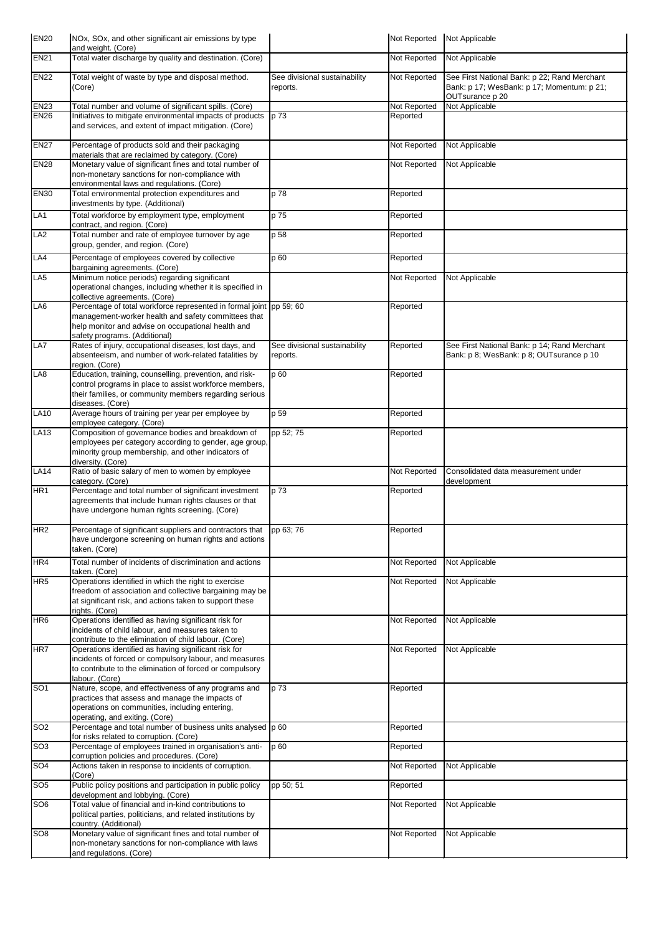| EN <sub>20</sub> | NOx, SOx, and other significant air emissions by type<br>and weight. (Core)                                                                                                                                       |                                           | Not Reported | Not Applicable                                                                                                |
|------------------|-------------------------------------------------------------------------------------------------------------------------------------------------------------------------------------------------------------------|-------------------------------------------|--------------|---------------------------------------------------------------------------------------------------------------|
| EN21             | Total water discharge by quality and destination. (Core)                                                                                                                                                          |                                           | Not Reported | Not Applicable                                                                                                |
| EN <sub>22</sub> | Total weight of waste by type and disposal method.<br>(Core)                                                                                                                                                      | See divisional sustainability<br>reports. | Not Reported | See First National Bank: p 22; Rand Merchant<br>Bank: p 17; WesBank: p 17; Momentum: p 21;<br>OUTsurance p 20 |
| EN <sub>23</sub> | Total number and volume of significant spills. (Core)                                                                                                                                                             |                                           | Not Reported | Not Applicable                                                                                                |
| <b>EN26</b>      | Initiatives to mitigate environmental impacts of products<br>and services, and extent of impact mitigation. (Core)                                                                                                | p 73                                      | Reported     |                                                                                                               |
| <b>EN27</b>      | Percentage of products sold and their packaging<br>materials that are reclaimed by category. (Core)                                                                                                               |                                           | Not Reported | Not Applicable                                                                                                |
| <b>EN28</b>      | Monetary value of significant fines and total number of<br>non-monetary sanctions for non-compliance with<br>environmental laws and regulations. (Core)                                                           |                                           | Not Reported | Not Applicable                                                                                                |
| EN <sub>30</sub> | Total environmental protection expenditures and<br>investments by type. (Additional)                                                                                                                              | p 78                                      | Reported     |                                                                                                               |
| LA <sub>1</sub>  | Total workforce by employment type, employment<br>contract, and region. (Core)                                                                                                                                    | p 75                                      | Reported     |                                                                                                               |
| LA <sub>2</sub>  | Total number and rate of employee turnover by age<br>group, gender, and region. (Core)                                                                                                                            | p 58                                      | Reported     |                                                                                                               |
| LA4              | Percentage of employees covered by collective                                                                                                                                                                     | p 60                                      | Reported     |                                                                                                               |
|                  | bargaining agreements. (Core)                                                                                                                                                                                     |                                           |              |                                                                                                               |
| LA <sub>5</sub>  | Minimum notice periods) regarding significant<br>operational changes, including whether it is specified in<br>collective agreements. (Core)                                                                       |                                           | Not Reported | Not Applicable                                                                                                |
| LA <sub>6</sub>  | Percentage of total workforce represented in formal joint pp 59; 60<br>management-worker health and safety committees that<br>help monitor and advise on occupational health and<br>safety programs. (Additional) |                                           | Reported     |                                                                                                               |
| LA7              | Rates of injury, occupational diseases, lost days, and<br>absenteeism, and number of work-related fatalities by<br>region. (Core)                                                                                 | See divisional sustainability<br>reports. | Reported     | See First National Bank: p 14; Rand Merchant<br>Bank: p 8; WesBank: p 8; OUTsurance p 10                      |
| LA8              | Education, training, counselling, prevention, and risk-<br>control programs in place to assist workforce members,<br>their families, or community members regarding serious<br>diseases. (Core)                   | p 60                                      | Reported     |                                                                                                               |
| <b>LA10</b>      | Average hours of training per year per employee by                                                                                                                                                                | p 59                                      | Reported     |                                                                                                               |
| <b>LA13</b>      | employee category. (Core)<br>Composition of governance bodies and breakdown of                                                                                                                                    | pp 52; 75                                 | Reported     |                                                                                                               |
|                  | employees per category according to gender, age group,<br>minority group membership, and other indicators of<br>diversity. (Core)                                                                                 |                                           |              |                                                                                                               |
| <b>LA14</b>      | Ratio of basic salary of men to women by employee<br>category. (Core)                                                                                                                                             |                                           | Not Reported | Consolidated data measurement under<br>development                                                            |
| HR <sub>1</sub>  | Percentage and total number of significant investment<br>agreements that include human rights clauses or that<br>have undergone human rights screening. (Core)                                                    | p 73                                      | Reported     |                                                                                                               |
| HR <sub>2</sub>  | Percentage of significant suppliers and contractors that<br>have undergone screening on human rights and actions<br>taken. (Core)                                                                                 | pp 63; 76                                 | Reported     |                                                                                                               |
| HR4              | Total number of incidents of discrimination and actions<br>taken. (Core)                                                                                                                                          |                                           | Not Reported | Not Applicable                                                                                                |
| HR <sub>5</sub>  | Operations identified in which the right to exercise<br>freedom of association and collective bargaining may be<br>at significant risk, and actions taken to support these<br>rights. (Core)                      |                                           | Not Reported | Not Applicable                                                                                                |
| HR <sub>6</sub>  | Operations identified as having significant risk for<br>incidents of child labour, and measures taken to<br>contribute to the elimination of child labour. (Core)                                                 |                                           | Not Reported | Not Applicable                                                                                                |
| HR7              | Operations identified as having significant risk for<br>incidents of forced or compulsory labour, and measures<br>to contribute to the elimination of forced or compulsory<br>labour. (Core)                      |                                           | Not Reported | Not Applicable                                                                                                |
| SO <sub>1</sub>  | Nature, scope, and effectiveness of any programs and<br>practices that assess and manage the impacts of<br>operations on communities, including entering,<br>operating, and exiting. (Core)                       | p 73                                      | Reported     |                                                                                                               |
| SO <sub>2</sub>  | Percentage and total number of business units analysed p 60<br>for risks related to corruption. (Core)                                                                                                            |                                           | Reported     |                                                                                                               |
| SO <sub>3</sub>  | Percentage of employees trained in organisation's anti-<br>corruption policies and procedures. (Core)                                                                                                             | p 60                                      | Reported     |                                                                                                               |
| SO <sub>4</sub>  | Actions taken in response to incidents of corruption.                                                                                                                                                             |                                           | Not Reported | Not Applicable                                                                                                |
| SO <sub>5</sub>  | (Core)<br>Public policy positions and participation in public policy                                                                                                                                              | pp 50; 51                                 | Reported     |                                                                                                               |
| SO <sub>6</sub>  | development and lobbying. (Core)<br>Total value of financial and in-kind contributions to<br>political parties, politicians, and related institutions by                                                          |                                           | Not Reported | Not Applicable                                                                                                |
|                  | country. (Additional)                                                                                                                                                                                             |                                           |              |                                                                                                               |
| SO <sub>8</sub>  | Monetary value of significant fines and total number of<br>non-monetary sanctions for non-compliance with laws<br>and regulations. (Core)                                                                         |                                           | Not Reported | Not Applicable                                                                                                |